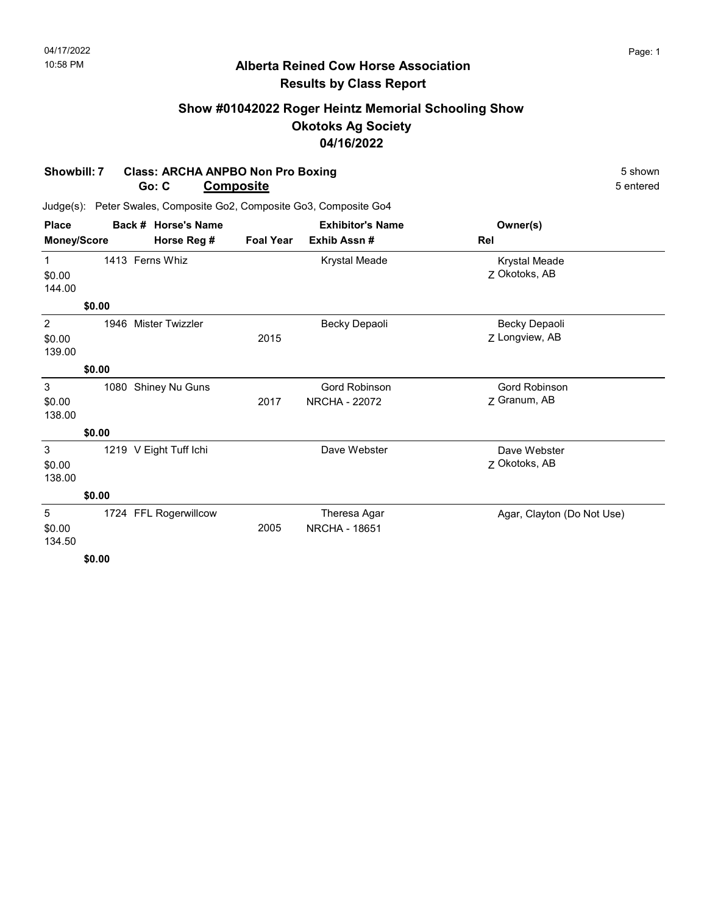# Show #01042022 Roger Heintz Memorial Schooling Show Okotoks Ag Society 04/16/2022

#### Showbill: 7 Class: ARCHA ANPBO Non Pro Boxing 5 shown Go: C Composite 5 entered

| <b>Place</b>          |        | Back # Horse's Name    |                  | <b>Exhibitor's Name</b>                      | Owner(s)                              |
|-----------------------|--------|------------------------|------------------|----------------------------------------------|---------------------------------------|
| <b>Money/Score</b>    |        | Horse Reg #            | <b>Foal Year</b> | Exhib Assn#                                  | Rel                                   |
| 1<br>\$0.00<br>144.00 |        | 1413 Ferns Whiz        |                  | Krystal Meade                                | <b>Krystal Meade</b><br>Z Okotoks, AB |
|                       | \$0.00 |                        |                  |                                              |                                       |
| 2<br>\$0.00<br>139.00 | 1946   | <b>Mister Twizzler</b> | 2015             | Becky Depaoli                                | Becky Depaoli<br>Z Longview, AB       |
|                       | \$0.00 |                        |                  |                                              |                                       |
| 3<br>\$0.00<br>138.00 | 1080   | Shiney Nu Guns         | 2017             | <b>Gord Robinson</b><br><b>NRCHA - 22072</b> | <b>Gord Robinson</b><br>Z Granum, AB  |
|                       | \$0.00 |                        |                  |                                              |                                       |
| 3<br>\$0.00<br>138.00 |        | 1219 V Eight Tuff Ichi |                  | Dave Webster                                 | Dave Webster<br>Z Okotoks, AB         |
|                       | \$0.00 |                        |                  |                                              |                                       |
| 5<br>\$0.00<br>134.50 |        | 1724 FFL Rogerwillcow  | 2005             | Theresa Agar<br><b>NRCHA - 18651</b>         | Agar, Clayton (Do Not Use)            |
|                       | \$0.00 |                        |                  |                                              |                                       |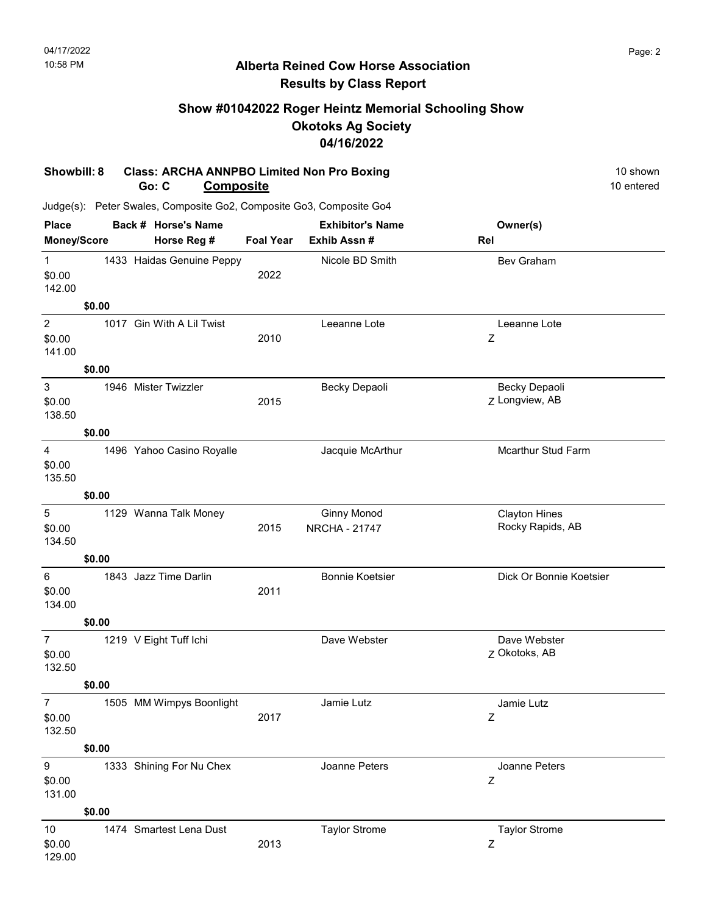# Show #01042022 Roger Heintz Memorial Schooling Show Okotoks Ag Society 04/16/2022

#### Showbill: 8 Class: ARCHA ANNPBO Limited Non Pro Boxing 10 Shown 10 shown Go: C Composite 10 entered

| <b>Place</b>                                  |        | Back # Horse's Name       |                  | <b>Exhibitor's Name</b>                    | Owner(s)                                   |
|-----------------------------------------------|--------|---------------------------|------------------|--------------------------------------------|--------------------------------------------|
| Money/Score                                   |        | Horse Reg #               | <b>Foal Year</b> | Exhib Assn #                               | Rel                                        |
| $\mathbf{1}$<br>\$0.00<br>142.00              |        | 1433 Haidas Genuine Peppy | 2022             | Nicole BD Smith                            | Bev Graham                                 |
|                                               | \$0.00 |                           |                  |                                            |                                            |
| $\boldsymbol{2}$<br>\$0.00<br>141.00          |        | 1017 Gin With A Lil Twist | 2010             | Leeanne Lote                               | Leeanne Lote<br>Z                          |
|                                               | \$0.00 |                           |                  |                                            |                                            |
| $\ensuremath{\mathsf{3}}$<br>\$0.00<br>138.50 |        | 1946 Mister Twizzler      | 2015             | Becky Depaoli                              | Becky Depaoli<br>Z Longview, AB            |
|                                               | \$0.00 |                           |                  |                                            |                                            |
| $\overline{\mathbf{4}}$<br>\$0.00<br>135.50   |        | 1496 Yahoo Casino Royalle |                  | Jacquie McArthur                           | <b>Mcarthur Stud Farm</b>                  |
|                                               | \$0.00 |                           |                  |                                            |                                            |
| $\sqrt{5}$<br>\$0.00<br>134.50                |        | 1129 Wanna Talk Money     | 2015             | <b>Ginny Monod</b><br><b>NRCHA - 21747</b> | <b>Clayton Hines</b><br>Rocky Rapids, AB   |
|                                               | \$0.00 |                           |                  |                                            |                                            |
| $\,6\,$<br>\$0.00<br>134.00                   |        | 1843 Jazz Time Darlin     | 2011             | <b>Bonnie Koetsier</b>                     | Dick Or Bonnie Koetsier                    |
|                                               | \$0.00 |                           |                  |                                            |                                            |
| $\overline{7}$<br>\$0.00<br>132.50            |        | 1219 V Eight Tuff Ichi    |                  | Dave Webster                               | Dave Webster<br>Z Okotoks, AB              |
|                                               | \$0.00 |                           |                  |                                            |                                            |
| $\overline{7}$<br>\$0.00<br>132.50            |        | 1505 MM Wimpys Boonlight  | 2017             | Jamie Lutz                                 | Jamie Lutz<br>Z                            |
|                                               | \$0.00 |                           |                  |                                            |                                            |
| $\boldsymbol{9}$<br>\$0.00<br>131.00          |        | 1333 Shining For Nu Chex  |                  | Joanne Peters                              | Joanne Peters<br>$\ensuremath{\mathsf{Z}}$ |
|                                               | \$0.00 |                           |                  |                                            |                                            |
| 10<br>\$0.00<br>129.00                        |        | 1474 Smartest Lena Dust   | 2013             | <b>Taylor Strome</b>                       | <b>Taylor Strome</b><br>Ζ                  |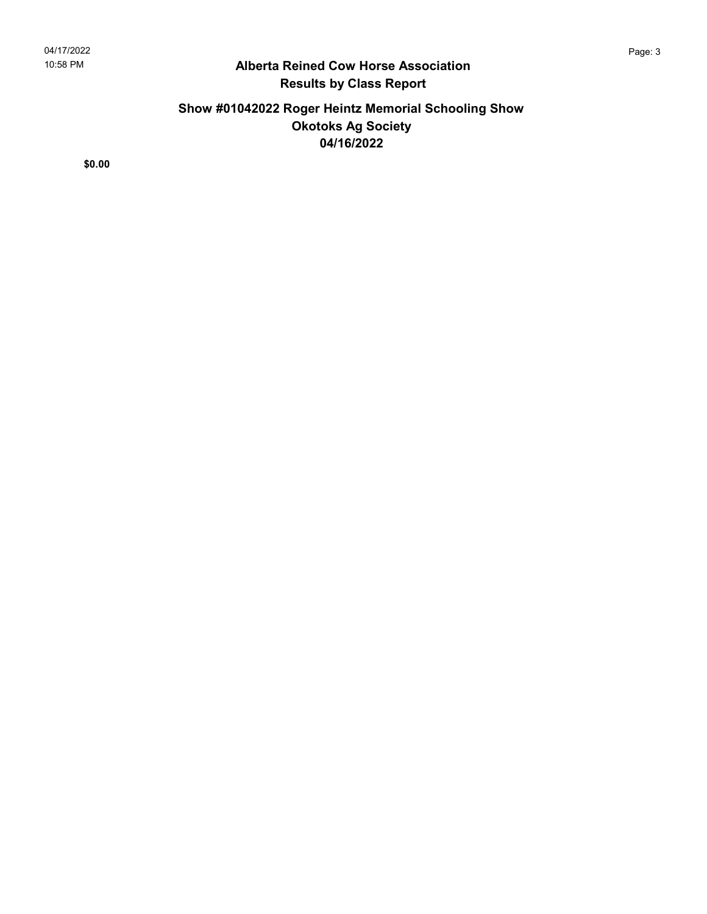# Show #01042022 Roger Heintz Memorial Schooling Show Okotoks Ag Society 04/16/2022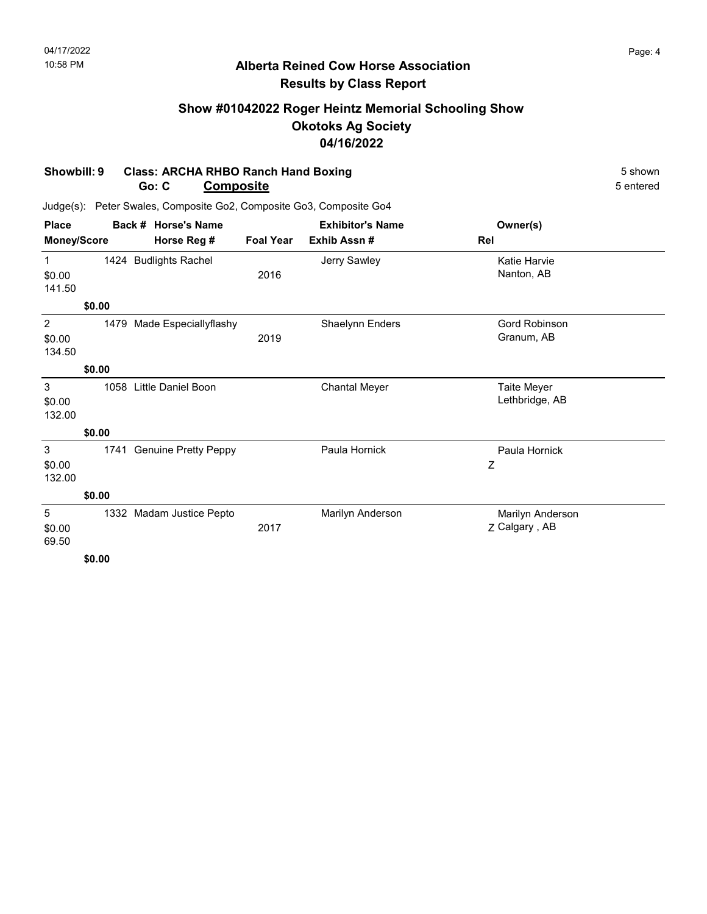# Show #01042022 Roger Heintz Memorial Schooling Show Okotoks Ag Society 04/16/2022

#### Showbill: 9 Class: ARCHA RHBO Ranch Hand Boxing 5 shown Go: C Composite 5 entered

| <b>Place</b>                     |        | Back # Horse's Name         | <b>Exhibitor's Name</b> |                      | Owner(s)                          |  |
|----------------------------------|--------|-----------------------------|-------------------------|----------------------|-----------------------------------|--|
| <b>Money/Score</b>               |        | Horse Reg #                 | <b>Foal Year</b>        | Exhib Assn #         | Rel                               |  |
| $\mathbf{1}$<br>\$0.00<br>141.50 |        | 1424 Budlights Rachel       | 2016                    | Jerry Sawley         | Katie Harvie<br>Nanton, AB        |  |
|                                  | \$0.00 |                             |                         |                      |                                   |  |
| 2<br>\$0.00<br>134.50            | 1479   | Made Especiallyflashy       | 2019                    | Shaelynn Enders      | Gord Robinson<br>Granum, AB       |  |
|                                  | \$0.00 |                             |                         |                      |                                   |  |
| 3<br>\$0.00<br>132.00            | 1058   | Little Daniel Boon          |                         | <b>Chantal Meyer</b> | Taite Meyer<br>Lethbridge, AB     |  |
|                                  | \$0.00 |                             |                         |                      |                                   |  |
| 3<br>\$0.00<br>132.00            | 1741   | <b>Genuine Pretty Peppy</b> |                         | Paula Hornick        | Paula Hornick<br>Ζ                |  |
|                                  | \$0.00 |                             |                         |                      |                                   |  |
| 5<br>\$0.00<br>69.50             | 1332   | Madam Justice Pepto         | 2017                    | Marilyn Anderson     | Marilyn Anderson<br>Z Calgary, AB |  |
|                                  | \$0.00 |                             |                         |                      |                                   |  |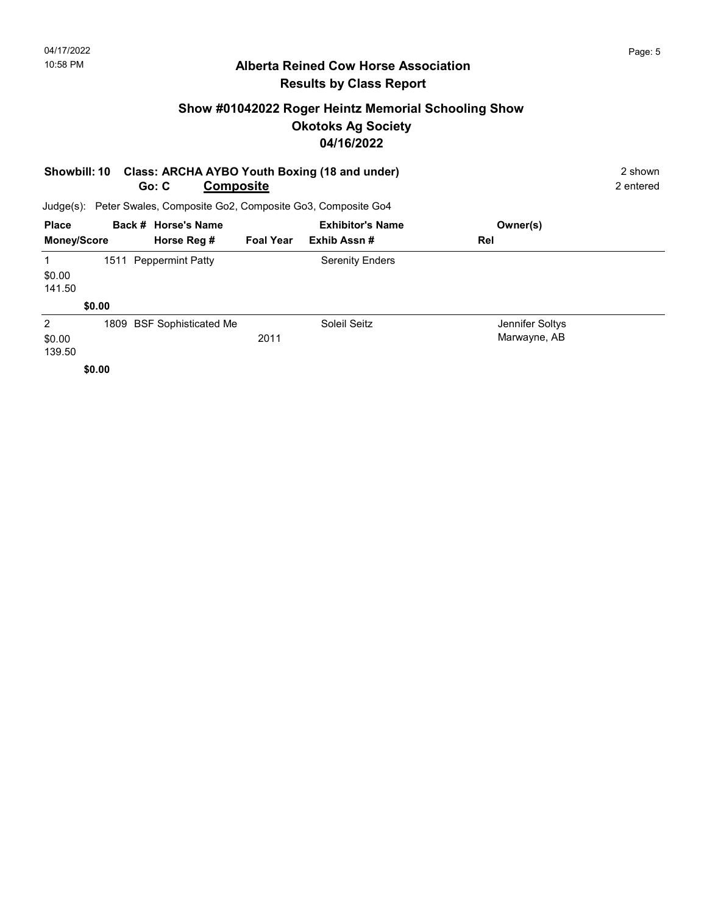# Show #01042022 Roger Heintz Memorial Schooling Show Okotoks Ag Society 04/16/2022

|                                                                     | Class: ARCHA AYBO Youth Boxing (18 and under)<br><b>Showbill: 10</b><br><b>Composite</b><br>Go: C |                           |                  |                         |                                 |  |
|---------------------------------------------------------------------|---------------------------------------------------------------------------------------------------|---------------------------|------------------|-------------------------|---------------------------------|--|
| Judge(s): Peter Swales, Composite Go2, Composite Go3, Composite Go4 |                                                                                                   |                           |                  |                         |                                 |  |
| <b>Place</b>                                                        |                                                                                                   | Back # Horse's Name       |                  | <b>Exhibitor's Name</b> | Owner(s)                        |  |
| <b>Money/Score</b>                                                  |                                                                                                   | Horse Reg #               | <b>Foal Year</b> | Exhib Assn#             | Rel                             |  |
| 1<br>\$0.00<br>141.50                                               |                                                                                                   | 1511 Peppermint Patty     |                  | <b>Serenity Enders</b>  |                                 |  |
|                                                                     | \$0.00                                                                                            |                           |                  |                         |                                 |  |
| 2<br>\$0.00<br>139.50                                               | \$0.00                                                                                            | 1809 BSF Sophisticated Me | 2011             | Soleil Seitz            | Jennifer Soltys<br>Marwayne, AB |  |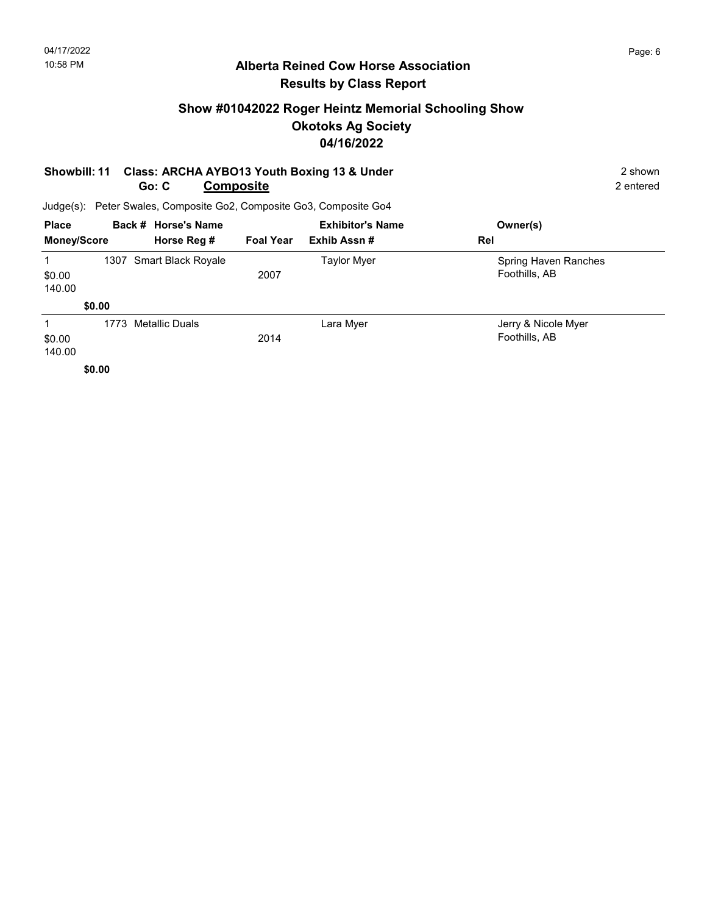# Show #01042022 Roger Heintz Memorial Schooling Show Okotoks Ag Society 04/16/2022

#### Showbill: 11 Class: ARCHA AYBO13 Youth Boxing 13 & Under 2 Shown 2 shown Go: C **Composite** 2 entered

| <b>Place</b>          |        | Back # Horse's Name     |                  | <b>Exhibitor's Name</b> | Owner(s)                              |
|-----------------------|--------|-------------------------|------------------|-------------------------|---------------------------------------|
| <b>Money/Score</b>    |        | Horse Reg #             | <b>Foal Year</b> | Exhib Assn#             | Rel                                   |
| 1<br>\$0.00<br>140.00 |        | 1307 Smart Black Royale | 2007             | <b>Taylor Myer</b>      | Spring Haven Ranches<br>Foothills, AB |
|                       | \$0.00 |                         |                  |                         |                                       |
| 1<br>\$0.00<br>140.00 | 1773   | Metallic Duals          | 2014             | Lara Myer               | Jerry & Nicole Myer<br>Foothills, AB  |
|                       | \$0.00 |                         |                  |                         |                                       |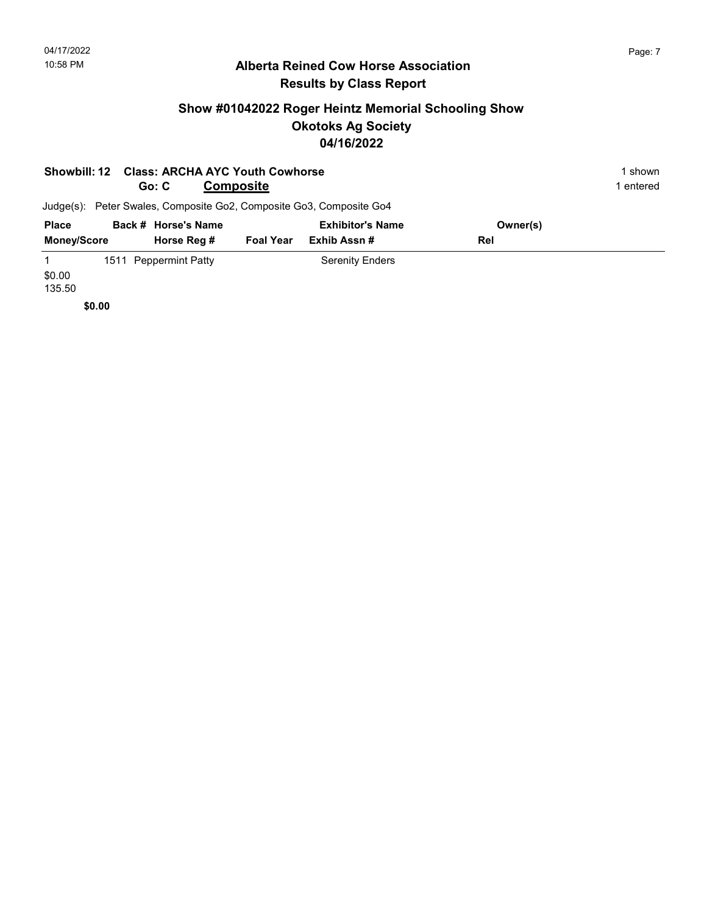# Show #01042022 Roger Heintz Memorial Schooling Show Okotoks Ag Society 04/16/2022

|                    | Showbill: 12 Class: ARCHA AYC Youth Cowhorse |                  |                                                                     |          | 1 shown   |
|--------------------|----------------------------------------------|------------------|---------------------------------------------------------------------|----------|-----------|
|                    | Go: C                                        | <b>Composite</b> |                                                                     |          | l entered |
|                    |                                              |                  | Judge(s): Peter Swales, Composite Go2, Composite Go3, Composite Go4 |          |           |
| <b>Place</b>       | Back # Horse's Name                          |                  | <b>Exhibitor's Name</b>                                             | Owner(s) |           |
| <b>Money/Score</b> | Horse Reg #                                  | <b>Foal Year</b> | Exhib Assn#                                                         | Rel      |           |
|                    | 1511 Peppermint Patty                        |                  | <b>Serenity Enders</b>                                              |          |           |
| \$0.00             |                                              |                  |                                                                     |          |           |

135.50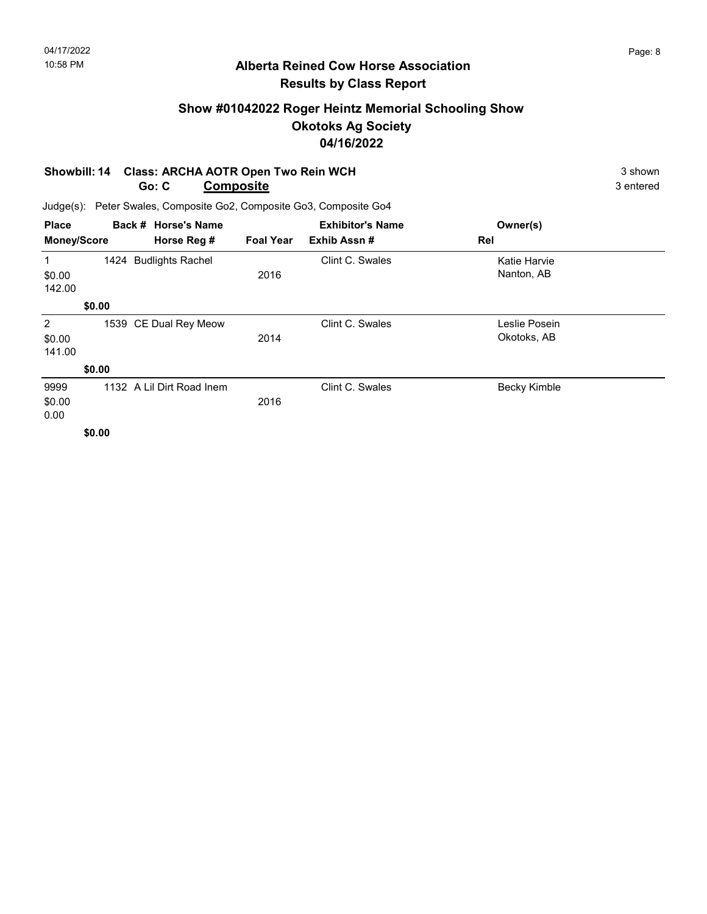# Show #01042022 Roger Heintz Memorial Schooling Show Okotoks Ag Society 04/16/2022

#### Showbill: 14 Class: ARCHA AOTR Open Two Rein WCH 3 shown 3 shown Go: C **Composite** 3 entered

| <b>Place</b>                       |             |  | Back # Horse's Name       |             | <b>Exhibitor's Name</b> | Owner(s)                     |  |
|------------------------------------|-------------|--|---------------------------|-------------|-------------------------|------------------------------|--|
| <b>Money/Score</b>                 | Horse Reg # |  | <b>Foal Year</b>          | Exhib Assn# | Rel                     |                              |  |
| 1<br>\$0.00<br>142.00              |             |  | 1424 Budlights Rachel     | 2016        | Clint C. Swales         | Katie Harvie<br>Nanton, AB   |  |
|                                    | \$0.00      |  |                           |             |                         |                              |  |
| $\overline{2}$<br>\$0.00<br>141.00 |             |  | 1539 CE Dual Rey Meow     | 2014        | Clint C. Swales         | Leslie Posein<br>Okotoks, AB |  |
|                                    | \$0.00      |  |                           |             |                         |                              |  |
| 9999<br>\$0.00<br>0.00             |             |  | 1132 A Lil Dirt Road Inem | 2016        | Clint C. Swales         | Becky Kimble                 |  |
|                                    | \$0.00      |  |                           |             |                         |                              |  |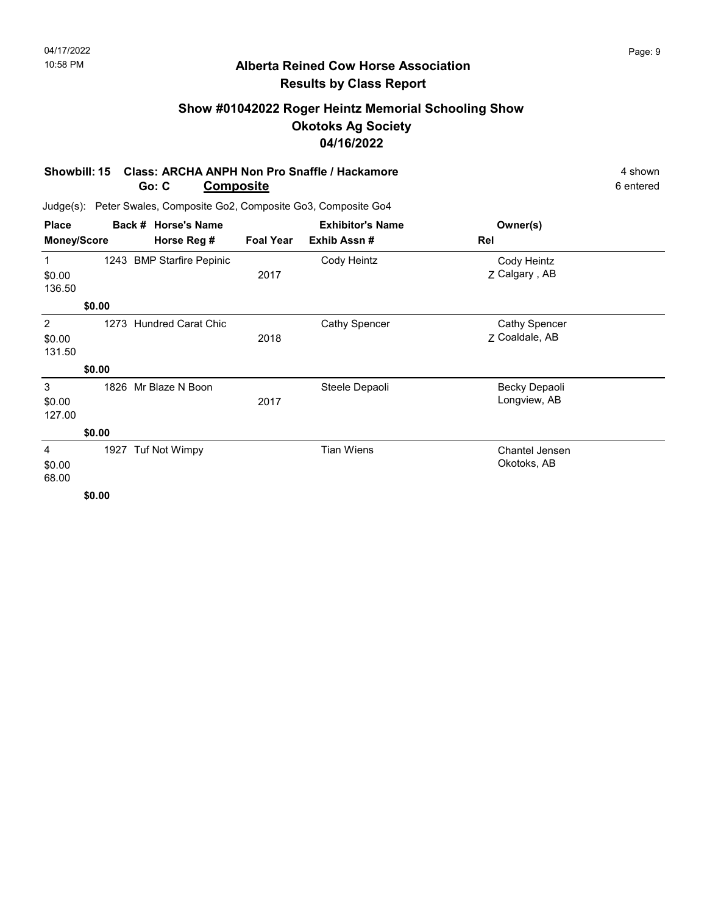# Show #01042022 Roger Heintz Memorial Schooling Show Okotoks Ag Society 04/16/2022

#### Showbill: 15 Class: ARCHA ANPH Non Pro Snaffle / Hackamore 4 Shown 4 shown Go: C Composite 6 entered

| <b>Place</b>       |        | Back # Horse's Name       |                  | <b>Exhibitor's Name</b><br>Exhib Assn# | Owner(s)<br>Rel      |  |
|--------------------|--------|---------------------------|------------------|----------------------------------------|----------------------|--|
| <b>Money/Score</b> |        | Horse Reg #               | <b>Foal Year</b> |                                        |                      |  |
| 1                  |        | 1243 BMP Starfire Pepinic |                  | Cody Heintz                            | Cody Heintz          |  |
| \$0.00             |        |                           | 2017             |                                        | Z Calgary, AB        |  |
| 136.50             |        |                           |                  |                                        |                      |  |
|                    | \$0.00 |                           |                  |                                        |                      |  |
| 2                  | 1273   | <b>Hundred Carat Chic</b> |                  | Cathy Spencer                          | <b>Cathy Spencer</b> |  |
| \$0.00             |        |                           | 2018             |                                        | 7 Coaldale, AB       |  |
| 131.50             |        |                           |                  |                                        |                      |  |
|                    | \$0.00 |                           |                  |                                        |                      |  |
| 3                  |        | 1826 Mr Blaze N Boon      |                  | Steele Depaoli                         | Becky Depaoli        |  |
| \$0.00             |        |                           | 2017             |                                        | Longview, AB         |  |
| 127.00             |        |                           |                  |                                        |                      |  |
|                    | \$0.00 |                           |                  |                                        |                      |  |
| 4                  |        | 1927 Tuf Not Wimpy        |                  | <b>Tian Wiens</b>                      | Chantel Jensen       |  |
| \$0.00             |        |                           |                  |                                        | Okotoks, AB          |  |
| 68.00              |        |                           |                  |                                        |                      |  |
|                    | \$0.00 |                           |                  |                                        |                      |  |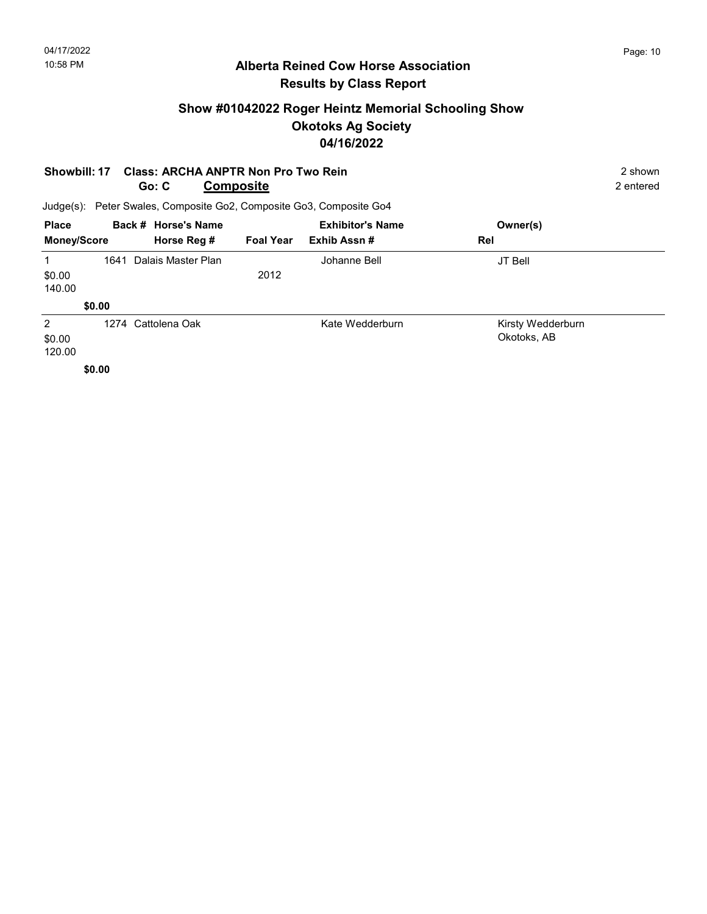# Show #01042022 Roger Heintz Memorial Schooling Show Okotoks Ag Society 04/16/2022

|                                    | <b>Class: ARCHA ANPTR Non Pro Two Rein</b><br>Showbill: 17<br><b>Composite</b><br>Go: C |                                                                     |                  |                         |                                  |  |  |
|------------------------------------|-----------------------------------------------------------------------------------------|---------------------------------------------------------------------|------------------|-------------------------|----------------------------------|--|--|
|                                    |                                                                                         | Judge(s): Peter Swales, Composite Go2, Composite Go3, Composite Go4 |                  |                         |                                  |  |  |
| <b>Place</b>                       |                                                                                         | Back # Horse's Name                                                 |                  | <b>Exhibitor's Name</b> | Owner(s)                         |  |  |
| <b>Money/Score</b>                 |                                                                                         | Horse Reg #                                                         | <b>Foal Year</b> | Exhib Assn#             | Rel                              |  |  |
| $\mathbf 1$<br>\$0.00<br>140.00    | 1641                                                                                    | Dalais Master Plan                                                  | 2012             | Johanne Bell            | JT Bell                          |  |  |
|                                    | \$0.00                                                                                  |                                                                     |                  |                         |                                  |  |  |
| $\overline{2}$<br>\$0.00<br>120.00 |                                                                                         | 1274 Cattolena Oak                                                  |                  | Kate Wedderburn         | Kirsty Wedderburn<br>Okotoks, AB |  |  |
|                                    | \$0.00                                                                                  |                                                                     |                  |                         |                                  |  |  |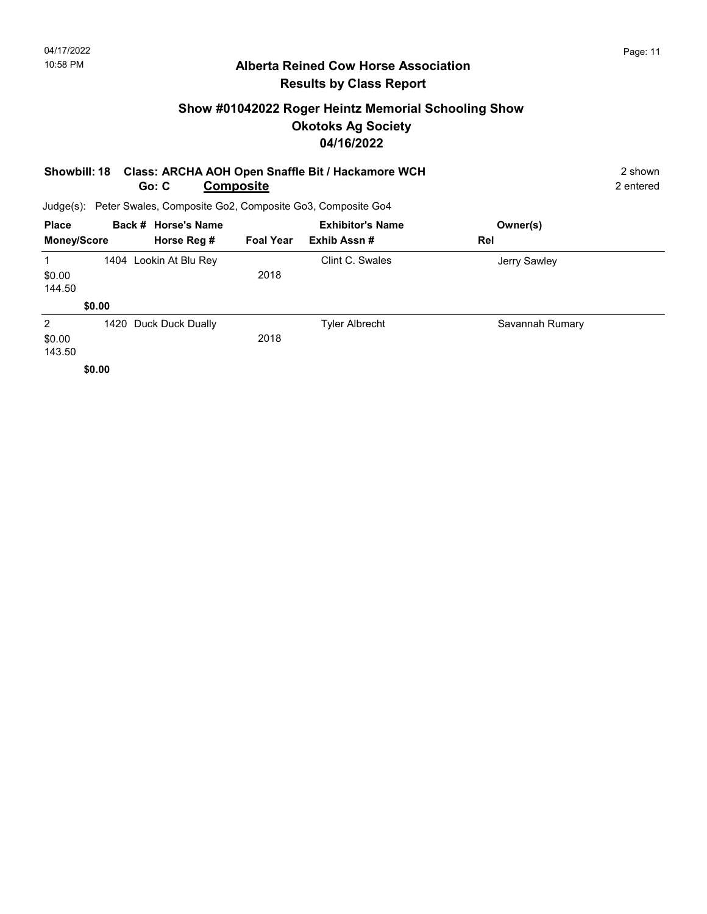# Show #01042022 Roger Heintz Memorial Schooling Show Okotoks Ag Society 04/16/2022

|       | Showbill: 18 Class: ARCHA AOH Open Snaffle Bit / Hackamore WCH      | 2 shown   |
|-------|---------------------------------------------------------------------|-----------|
| Go: C | Composite                                                           | 2 entered |
|       | Judge(s): Peter Swales, Composite Go2, Composite Go3, Composite Go4 |           |

| <b>Place</b>       |        | Back # Horse's Name    |                  | <b>Exhibitor's Name</b> | Owner(s)        |  |
|--------------------|--------|------------------------|------------------|-------------------------|-----------------|--|
| <b>Money/Score</b> |        | Horse Reg #            | <b>Foal Year</b> | Exhib Assn#             | Rel             |  |
| 1                  |        | 1404 Lookin At Blu Rey |                  | Clint C. Swales         | Jerry Sawley    |  |
| \$0.00             |        |                        | 2018             |                         |                 |  |
| 144.50             |        |                        |                  |                         |                 |  |
|                    | \$0.00 |                        |                  |                         |                 |  |
| $\overline{2}$     |        | 1420 Duck Duck Dually  |                  | <b>Tyler Albrecht</b>   | Savannah Rumary |  |
| \$0.00             |        |                        | 2018             |                         |                 |  |
| 143.50             |        |                        |                  |                         |                 |  |
|                    | \$0.00 |                        |                  |                         |                 |  |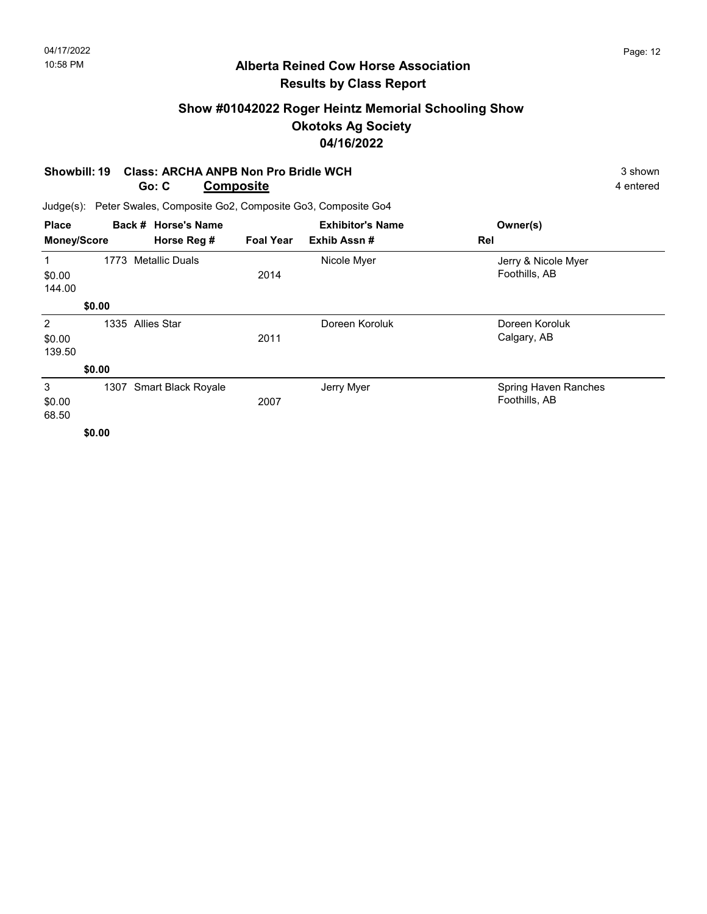# Show #01042022 Roger Heintz Memorial Schooling Show Okotoks Ag Society 04/16/2022

#### Showbill: 19 Class: ARCHA ANPB Non Pro Bridle WCH 3 shown 3 shown Go: C **Composite** 4 entered

| <b>Place</b>          |        | Back # Horse's Name             |             | <b>Exhibitor's Name</b> | Owner(s)                              |
|-----------------------|--------|---------------------------------|-------------|-------------------------|---------------------------------------|
| <b>Money/Score</b>    |        | Horse Reg #<br><b>Foal Year</b> | Exhib Assn# | Rel                     |                                       |
| 1<br>\$0.00<br>144.00 | 1773   | <b>Metallic Duals</b>           | 2014        | Nicole Myer             | Jerry & Nicole Myer<br>Foothills, AB  |
|                       | \$0.00 |                                 |             |                         |                                       |
| 2<br>\$0.00<br>139.50 | 1335   | <b>Allies Star</b>              | 2011        | Doreen Koroluk          | Doreen Koroluk<br>Calgary, AB         |
|                       | \$0.00 |                                 |             |                         |                                       |
| 3<br>\$0.00<br>68.50  | 1307   | Smart Black Royale              | 2007        | Jerry Myer              | Spring Haven Ranches<br>Foothills, AB |
|                       | \$0.00 |                                 |             |                         |                                       |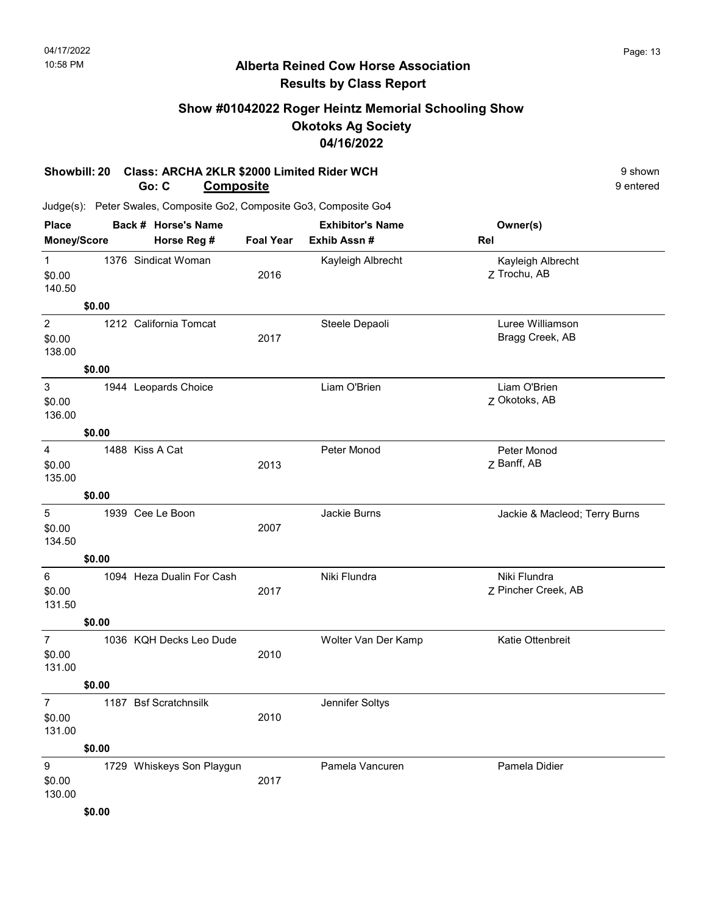# Show #01042022 Roger Heintz Memorial Schooling Show Okotoks Ag Society 04/16/2022

#### Showbill: 20 Class: ARCHA 2KLR \$2000 Limited Rider WCH 9 Shown 9 shown Go: C **Composite** 9 entered

| <b>Place</b>                        |        |                 | Back # Horse's Name       |                  | <b>Exhibitor's Name</b> | Owner(s)                            |
|-------------------------------------|--------|-----------------|---------------------------|------------------|-------------------------|-------------------------------------|
| Money/Score                         |        |                 | Horse Reg #               | <b>Foal Year</b> | Exhib Assn #            | Rel                                 |
| $\mathbf{1}$<br>\$0.00<br>140.50    |        |                 | 1376 Sindicat Woman       | 2016             | Kayleigh Albrecht       | Kayleigh Albrecht<br>Z Trochu, AB   |
|                                     | \$0.00 |                 |                           |                  |                         |                                     |
| $\overline{2}$<br>\$0.00<br>138.00  |        |                 | 1212 California Tomcat    | 2017             | Steele Depaoli          | Luree Williamson<br>Bragg Creek, AB |
|                                     | \$0.00 |                 |                           |                  |                         |                                     |
| $\mathbf{3}$<br>\$0.00<br>136.00    |        |                 | 1944 Leopards Choice      |                  | Liam O'Brien            | Liam O'Brien<br>Z Okotoks, AB       |
|                                     | \$0.00 |                 |                           |                  |                         |                                     |
| 4<br>\$0.00<br>135.00               |        | 1488 Kiss A Cat |                           | 2013             | Peter Monod             | Peter Monod<br>Z Banff, AB          |
|                                     | \$0.00 |                 |                           |                  |                         |                                     |
| 5<br>\$0.00<br>134.50               |        |                 | 1939 Cee Le Boon          | 2007             | Jackie Burns            | Jackie & Macleod; Terry Burns       |
|                                     | \$0.00 |                 |                           |                  |                         |                                     |
| 6<br>\$0.00<br>131.50               |        |                 | 1094 Heza Dualin For Cash | 2017             | Niki Flundra            | Niki Flundra<br>Z Pincher Creek, AB |
|                                     | \$0.00 |                 |                           |                  |                         |                                     |
| $\overline{7}$<br>\$0.00<br>131.00  |        |                 | 1036 KQH Decks Leo Dude   | 2010             | Wolter Van Der Kamp     | Katie Ottenbreit                    |
|                                     | \$0.00 |                 |                           |                  |                         |                                     |
| $7\overline{ }$<br>\$0.00<br>131.00 |        |                 | 1187 Bsf Scratchnsilk     | 2010             | Jennifer Soltys         |                                     |
|                                     | \$0.00 |                 |                           |                  |                         |                                     |
| 9<br>\$0.00<br>130.00               |        |                 | 1729 Whiskeys Son Playgun | 2017             | Pamela Vancuren         | Pamela Didier                       |
|                                     | \$0.00 |                 |                           |                  |                         |                                     |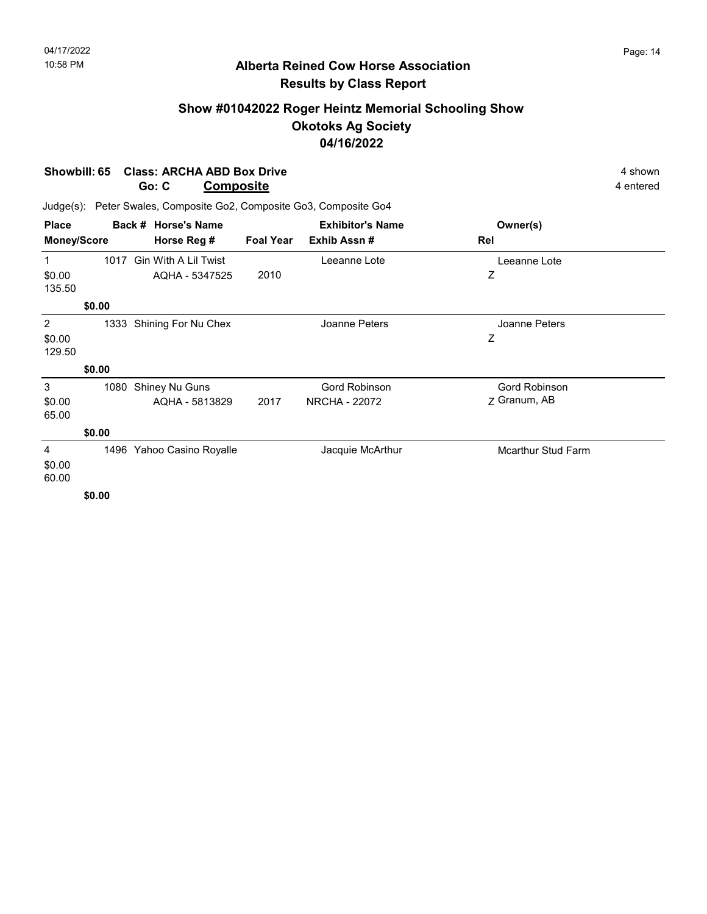# Show #01042022 Roger Heintz Memorial Schooling Show Okotoks Ag Society 04/16/2022

Showbill: 65 Class: ARCHA ABD Box Drive 4 Shown 4 shown

|                       |                               | Go: C                                                     | <b>Composite</b> |                                       | 4 entered                     |  |  |
|-----------------------|-------------------------------|-----------------------------------------------------------|------------------|---------------------------------------|-------------------------------|--|--|
| Judge(s):             |                               | Peter Swales, Composite Go2, Composite Go3, Composite Go4 |                  |                                       |                               |  |  |
| <b>Place</b>          |                               | Back # Horse's Name                                       |                  | <b>Exhibitor's Name</b>               | Owner(s)                      |  |  |
| Money/Score           |                               | Horse Reg #                                               | <b>Foal Year</b> | Exhib Assn#                           | Rel                           |  |  |
|                       | 1017                          | <b>Gin With A Lil Twist</b>                               |                  | Leeanne Lote                          | Leeanne Lote                  |  |  |
| \$0.00<br>135.50      |                               | AQHA - 5347525                                            | 2010             |                                       | Ζ                             |  |  |
|                       | \$0.00                        |                                                           |                  |                                       |                               |  |  |
| 2<br>\$0.00<br>129.50 | 1333                          | Shining For Nu Chex                                       |                  | Joanne Peters                         | Joanne Peters<br>Ζ            |  |  |
|                       | \$0.00                        |                                                           |                  |                                       |                               |  |  |
| 3<br>\$0.00<br>65.00  | 1080                          | Shiney Nu Guns<br>AQHA - 5813829                          | 2017             | Gord Robinson<br><b>NRCHA - 22072</b> | Gord Robinson<br>7 Granum, AB |  |  |
| \$0.00                |                               |                                                           |                  |                                       |                               |  |  |
| 4<br>\$0.00<br>60.00  | $\bullet$ $\bullet$ $\bullet$ | 1496 Yahoo Casino Royalle                                 |                  | Jacquie McArthur                      | <b>Mcarthur Stud Farm</b>     |  |  |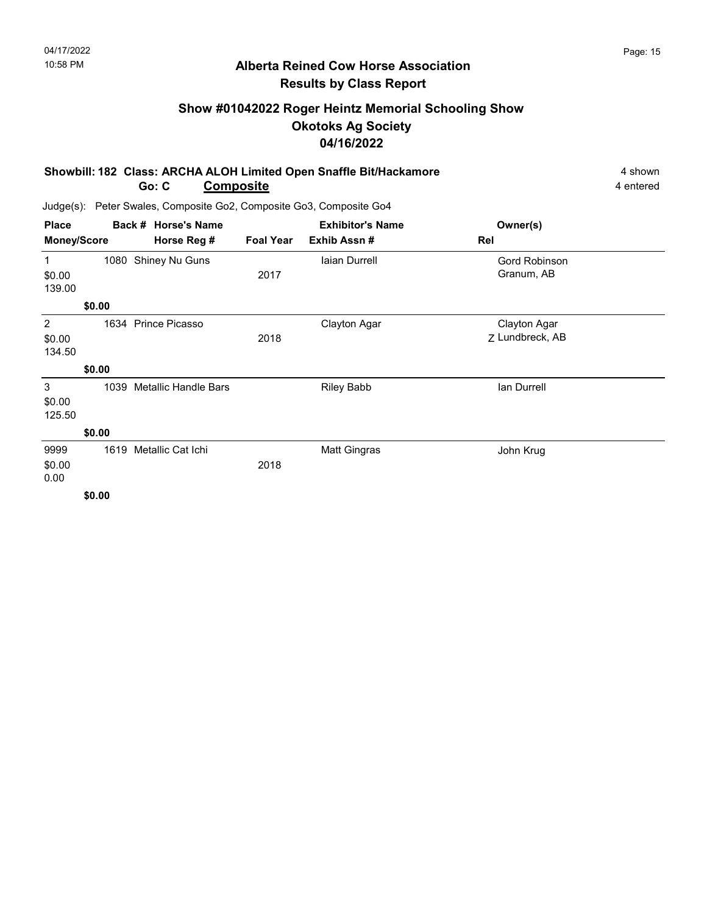# Show #01042022 Roger Heintz Memorial Schooling Show Okotoks Ag Society 04/16/2022

| Showbill: 182 Class: ARCHA ALOH Limited Open Snaffle Bit/Hackamore |           |           |
|--------------------------------------------------------------------|-----------|-----------|
| Go: C                                                              | Composite | 4 entered |

| <b>Place</b>                      | Back # Horse's Name |                             | <b>Exhibitor's Name</b> |                   | Owner(s)                        |  |
|-----------------------------------|---------------------|-----------------------------|-------------------------|-------------------|---------------------------------|--|
| <b>Money/Score</b><br>Horse Reg # |                     | <b>Foal Year</b>            | Exhib Assn#             | Rel               |                                 |  |
| $\mathbf{1}$                      |                     | 1080 Shiney Nu Guns         |                         | laian Durrell     | Gord Robinson                   |  |
| \$0.00<br>139.00                  |                     |                             | 2017                    |                   | Granum, AB                      |  |
|                                   | \$0.00              |                             |                         |                   |                                 |  |
| 2<br>\$0.00<br>134.50             |                     | 1634 Prince Picasso         | 2018                    | Clayton Agar      | Clayton Agar<br>Z Lundbreck, AB |  |
|                                   | \$0.00              |                             |                         |                   |                                 |  |
| 3<br>\$0.00<br>125.50             | 1039                | <b>Metallic Handle Bars</b> |                         | <b>Riley Babb</b> | lan Durrell                     |  |
|                                   | \$0.00              |                             |                         |                   |                                 |  |
| 9999<br>\$0.00<br>0.00            | 1619                | Metallic Cat Ichi           | 2018                    | Matt Gingras      | John Krug                       |  |
|                                   | \$0.00              |                             |                         |                   |                                 |  |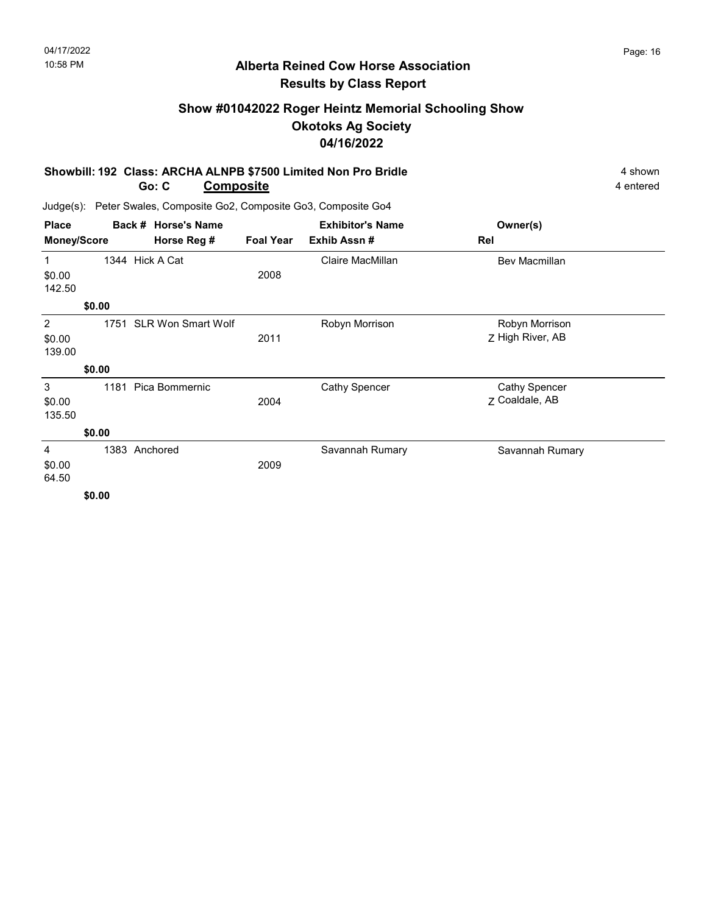# Show #01042022 Roger Heintz Memorial Schooling Show Okotoks Ag Society 04/16/2022

#### Showbill: 192 Class: ARCHA ALNPB \$7500 Limited Non Pro Bridle 4 Shown 4 shown Go: C **Composite** 4 entered

Judge(s): Peter Swales, Composite Go2, Composite Go3, Composite Go4

| Owner(s)                               |  |
|----------------------------------------|--|
| Rel                                    |  |
| <b>Bev Macmillan</b>                   |  |
|                                        |  |
| Robyn Morrison<br>Z High River, AB     |  |
|                                        |  |
| <b>Cathy Spencer</b><br>Z Coaldale, AB |  |
|                                        |  |
| Savannah Rumary                        |  |
|                                        |  |